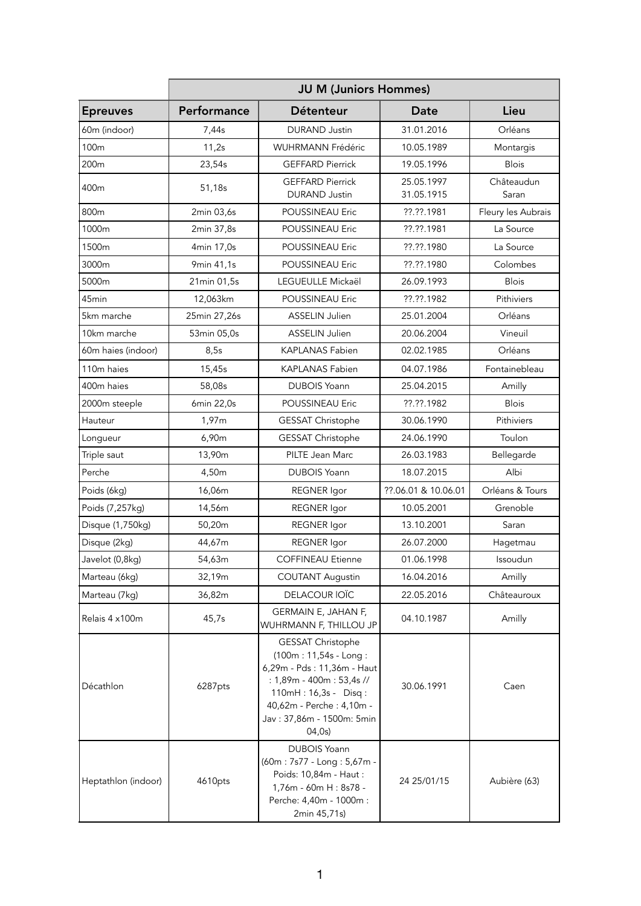|                        | <b>JU M (Juniors Hommes)</b> |                                                                                                                                                                                                           |                          |                     |  |
|------------------------|------------------------------|-----------------------------------------------------------------------------------------------------------------------------------------------------------------------------------------------------------|--------------------------|---------------------|--|
| <b>Epreuves</b>        | Performance                  | Détenteur                                                                                                                                                                                                 | <b>Date</b>              | Lieu                |  |
| 60m (indoor)           | 7,44s                        | <b>DURAND Justin</b>                                                                                                                                                                                      | 31.01.2016               | Orléans             |  |
| 100m                   | 11,2s                        | <b>WUHRMANN Frédéric</b>                                                                                                                                                                                  | 10.05.1989               | Montargis           |  |
| 200m                   | 23,54s                       | <b>GEFFARD Pierrick</b>                                                                                                                                                                                   | 19.05.1996               | <b>Blois</b>        |  |
| 400m                   | 51,18s                       | <b>GEFFARD Pierrick</b><br><b>DURAND Justin</b>                                                                                                                                                           | 25.05.1997<br>31.05.1915 | Châteaudun<br>Saran |  |
| 800m                   | 2min 03,6s                   | POUSSINEAU Eric                                                                                                                                                                                           | ??.??.1981               | Fleury les Aubrais  |  |
| 1000m                  | 2min 37,8s                   | <b>POUSSINEAU Eric</b>                                                                                                                                                                                    | ??.??.1981               | La Source           |  |
| 1500m                  | 4min 17,0s                   | POUSSINEAU Eric                                                                                                                                                                                           | ??.??.1980               | La Source           |  |
| 3000m                  | 9min 41,1s                   | POUSSINEAU Eric                                                                                                                                                                                           | ??.??.1980               | Colombes            |  |
| 5000m                  | 21min 01,5s                  | LEGUEULLE Mickaël                                                                                                                                                                                         | 26.09.1993               | <b>Blois</b>        |  |
| 45min                  | 12,063km                     | POUSSINEAU Eric                                                                                                                                                                                           | ??.??.1982               | Pithiviers          |  |
| 5km marche             | 25min 27,26s                 | ASSELIN Julien                                                                                                                                                                                            | 25.01.2004               | Orléans             |  |
| 10km marche            | 53min 05,0s                  | <b>ASSELIN Julien</b>                                                                                                                                                                                     | 20.06.2004               | Vineuil             |  |
| 60m haies (indoor)     | 8,5s                         | KAPLANAS Fabien                                                                                                                                                                                           | 02.02.1985               | Orléans             |  |
| 110 <sub>m</sub> haies | 15,45s                       | <b>KAPLANAS Fabien</b>                                                                                                                                                                                    | 04.07.1986               | Fontainebleau       |  |
| 400m haies             | 58,08s                       | <b>DUBOIS Yoann</b>                                                                                                                                                                                       | 25.04.2015               | Amilly              |  |
| 2000m steeple          | 6min 22,0s                   | POUSSINEAU Eric                                                                                                                                                                                           | ??.??.1982               | <b>Blois</b>        |  |
| Hauteur                | 1,97m                        | GESSAT Christophe                                                                                                                                                                                         | 30.06.1990               | Pithiviers          |  |
| Longueur               | 6,90m                        | GESSAT Christophe                                                                                                                                                                                         | 24.06.1990               | Toulon              |  |
| Triple saut            | 13,90m                       | PILTE Jean Marc                                                                                                                                                                                           | 26.03.1983               | Bellegarde          |  |
| Perche                 | 4,50m                        | <b>DUBOIS Yoann</b>                                                                                                                                                                                       | 18.07.2015               | Albi                |  |
| Poids (6kg)            | 16,06m                       | <b>REGNER</b> Igor                                                                                                                                                                                        | ??.06.01 & 10.06.01      | Orléans & Tours     |  |
| Poids (7,257kg)        | 14,56m                       | <b>REGNER</b> Igor                                                                                                                                                                                        | 10.05.2001               | Grenoble            |  |
| Disque (1,750kg)       | 50,20m                       | <b>REGNER</b> Igor                                                                                                                                                                                        | 13.10.2001               | Saran               |  |
| Disque (2kg)           | 44,67m                       | <b>REGNER</b> Igor                                                                                                                                                                                        | 26.07.2000               | Hagetmau            |  |
| Javelot (0,8kg)        | 54,63m                       | <b>COFFINEAU Etienne</b>                                                                                                                                                                                  | 01.06.1998               | Issoudun            |  |
| Marteau (6kg)          | 32,19m                       | <b>COUTANT Augustin</b>                                                                                                                                                                                   | 16.04.2016               | Amilly              |  |
| Marteau (7kg)          | 36,82m                       | DELACOUR IOÏC                                                                                                                                                                                             | 22.05.2016               | Châteauroux         |  |
| Relais 4 x100m         | 45,7s                        | GERMAIN E, JAHAN F,<br>WUHRMANN F, THILLOU JP                                                                                                                                                             | 04.10.1987               | Amilly              |  |
| Décathlon              | 6287pts                      | <b>GESSAT Christophe</b><br>(100m: 11,54s - Long:<br>6,29m - Pds : 11,36m - Haut<br>: 1,89m - 400m : 53,4s //<br>110mH: 16,3s - Disq:<br>40,62m - Perche : 4,10m -<br>Jav: 37,86m - 1500m: 5min<br>04,0s) | 30.06.1991               | Caen                |  |
| Heptathlon (indoor)    | 4610pts                      | <b>DUBOIS Yoann</b><br>(60m: 7s77 - Long: 5,67m -<br>Poids: 10,84m - Haut :<br>1,76m - 60m H : 8s78 -<br>Perche: 4,40m - 1000m :<br>2min 45,71s)                                                          | 24 25/01/15              | Aubière (63)        |  |